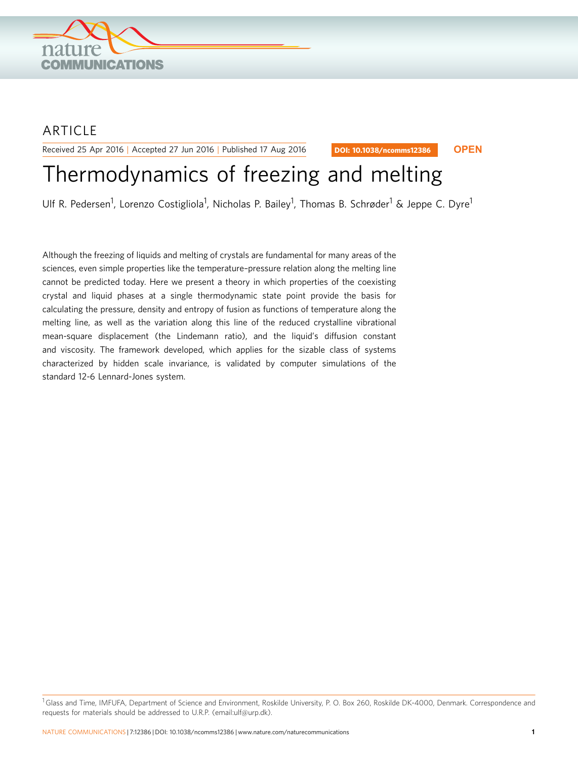

# ARTICLE

Received 25 Apr 2016 | Accepted 27 Jun 2016 | Published 17 Aug 2016

DOI: 10.1038/ncomms12386 **OPEN**

# Thermodynamics of freezing and melting

Ulf R. Pedersen<sup>1</sup>, Lorenzo Costigliola<sup>1</sup>, Nicholas P. Bailey<sup>1</sup>, Thomas B. Schrøder<sup>1</sup> & Jeppe C. Dyre<sup>1</sup>

Although the freezing of liquids and melting of crystals are fundamental for many areas of the sciences, even simple properties like the temperature–pressure relation along the melting line cannot be predicted today. Here we present a theory in which properties of the coexisting crystal and liquid phases at a single thermodynamic state point provide the basis for calculating the pressure, density and entropy of fusion as functions of temperature along the melting line, as well as the variation along this line of the reduced crystalline vibrational mean-square displacement (the Lindemann ratio), and the liquid's diffusion constant and viscosity. The framework developed, which applies for the sizable class of systems characterized by hidden scale invariance, is validated by computer simulations of the standard 12-6 Lennard-Jones system.

<sup>&</sup>lt;sup>1</sup>Glass and Time, IMFUFA, Department of Science and Environment, Roskilde University, P. O. Box 260, Roskilde DK-4000, Denmark. Correspondence and requests for materials should be addressed to U.R.P. (email[:ulf@urp.dk\)](mailto:ulf@urp.dk).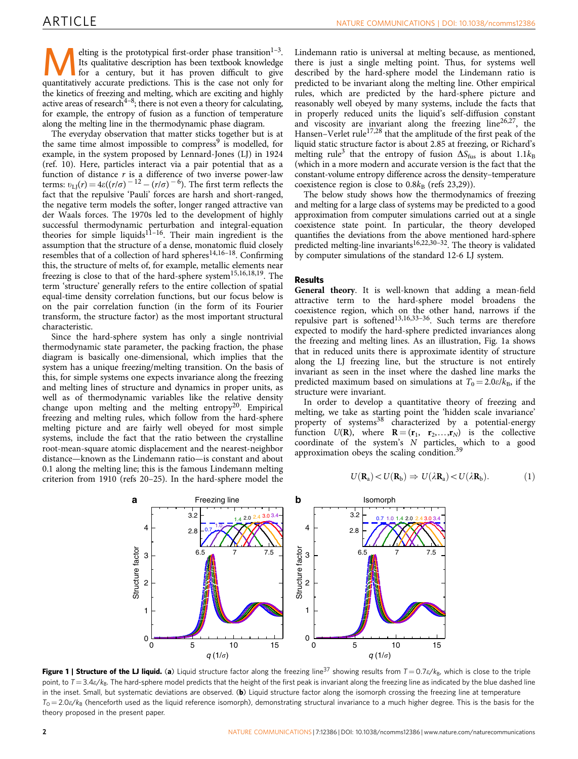<span id="page-1-0"></span>elting is the prototypical first-order phase transition<sup>1-3</sup>. Its qualitative description has been textbook knowledge for a century, but it has proven difficult to give quantitatively accurate predictions. This is the case not only for the kinetics of freezing and melting, which are exciting and highly active areas of research<sup>4-8</sup>; there is not even a theory for calculating, for example, the entropy of fusion as a function of temperature along the melting line in the thermodynamic phase diagram.

The everyday observation that matter sticks together but is at the same time almost impossible to compress<sup>[9](#page-7-0)</sup> is modelled, for example, in the system proposed by Lennard-Jones (LJ) in 1924 ([ref. 10](#page-7-0)). Here, particles interact via a pair potential that as a function of distance  $r$  is a difference of two inverse power-law terms:  $v_{\text{LJ}}(r) = 4\varepsilon((r/\sigma)^{-12} - (r/\sigma)^{-6})$ . The first term reflects the fact that the repulsive 'Pauli' forces are harsh and short-ranged, the negative term models the softer, longer ranged attractive van der Waals forces. The 1970s led to the development of highly successful thermodynamic perturbation and integral-equation theories for simple liquids<sup>11-16</sup>. Their main ingredient is the assumption that the structure of a dense, monatomic fluid closely resembles that of a collection of hard spheres<sup>14,16–18</sup>. Confirming this, the structure of melts of, for example, metallic elements near freezing is close to that of the hard-sphere system<sup>15,16,18,19</sup>. The term 'structure' generally refers to the entire collection of spatial equal-time density correlation functions, but our focus below is on the pair correlation function (in the form of its Fourier transform, the structure factor) as the most important structural characteristic.

Since the hard-sphere system has only a single nontrivial thermodynamic state parameter, the packing fraction, the phase diagram is basically one-dimensional, which implies that the system has a unique freezing/melting transition. On the basis of this, for simple systems one expects invariance along the freezing and melting lines of structure and dynamics in proper units, as well as of thermodynamic variables like the relative density change upon melting and the melting entropy<sup>20</sup>. Empirical freezing and melting rules, which follow from the hard-sphere melting picture and are fairly well obeyed for most simple systems, include the fact that the ratio between the crystalline root-mean-square atomic displacement and the nearest-neighbor distance—known as the Lindemann ratio—is constant and about 0.1 along the melting line; this is the famous Lindemann melting criterion from 1910 ([refs 20–25\)](#page-7-0). In the hard-sphere model the

Lindemann ratio is universal at melting because, as mentioned, there is just a single melting point. Thus, for systems well described by the hard-sphere model the Lindemann ratio is predicted to be invariant along the melting line. Other empirical rules, which are predicted by the hard-sphere picture and reasonably well obeyed by many systems, include the facts that in properly reduced units the liquid's self-diffusion constant and viscosity are invariant along the freezing line<sup>26,27</sup>, the Hansen–Verlet rule $17,28$  that the amplitude of the first peak of the liquid static structure factor is about 2.85 at freezing, or Richard's melting rule<sup>[3](#page-7-0)</sup> that the entropy of fusion  $\Delta S_{\text{fus}}$  is about 1.1 $k_{\text{B}}$ (which in a more modern and accurate version is the fact that the constant-volume entropy difference across the density–temperature coexistence region is close to  $0.8k_B$  [\(refs 23,29](#page-7-0))).

The below study shows how the thermodynamics of freezing and melting for a large class of systems may be predicted to a good approximation from computer simulations carried out at a single coexistence state point. In particular, the theory developed quantifies the deviations from the above mentioned hard-sphere predicted melting-line invariants $16,22,30-32$ . The theory is validated by computer simulations of the standard 12-6 LJ system.

# Results

General theory. It is well-known that adding a mean-field attractive term to the hard-sphere model broadens the coexistence region, which on the other hand, narrows if the repulsive part is softened<sup>13,16,33-36</sup>. Such terms are therefore expected to modify the hard-sphere predicted invariances along the freezing and melting lines. As an illustration, Fig. 1a shows that in reduced units there is approximate identity of structure along the LJ freezing line, but the structure is not entirely invariant as seen in the inset where the dashed line marks the predicted maximum based on simulations at  $T_0 = 2.0\varepsilon/k_B$ , if the structure were invariant.

In order to develop a quantitative theory of freezing and melting, we take as starting point the 'hidden scale invariance' property of systems<sup>38</sup> characterized by a potential-energy function  $U(\mathbf{R})$ , where  $\mathbf{R} = (\mathbf{r}_1, \mathbf{r}_2,...,\mathbf{r}_N)$  is the collective coordinate of the system's N particles, which to a good approximation obeys the scaling condition.<sup>[39](#page-7-0)</sup>

$$
U(\mathbf{R}_{a}) < U(\mathbf{R}_{b}) \Rightarrow U(\lambda \mathbf{R}_{a}) < U(\lambda \mathbf{R}_{b}).\tag{1}
$$



Figure 1 | Structure of the LJ liquid. (a) Liquid structure factor along the freezing line<sup>37</sup> showing results from  $T = 0.7\epsilon/k_{\rm B}$ , which is close to the triple point, to  $T = 3.4\varepsilon/k_B$ . The hard-sphere model predicts that the height of the first peak is invariant along the freezing line as indicated by the blue dashed line in the inset. Small, but systematic deviations are observed. (b) Liquid structure factor along the isomorph crossing the freezing line at temperature  $T_0 = 2.0\varepsilon/k_B$  (henceforth used as the liquid reference isomorph), demonstrating structural invariance to a much higher degree. This is the basis for the theory proposed in the present paper.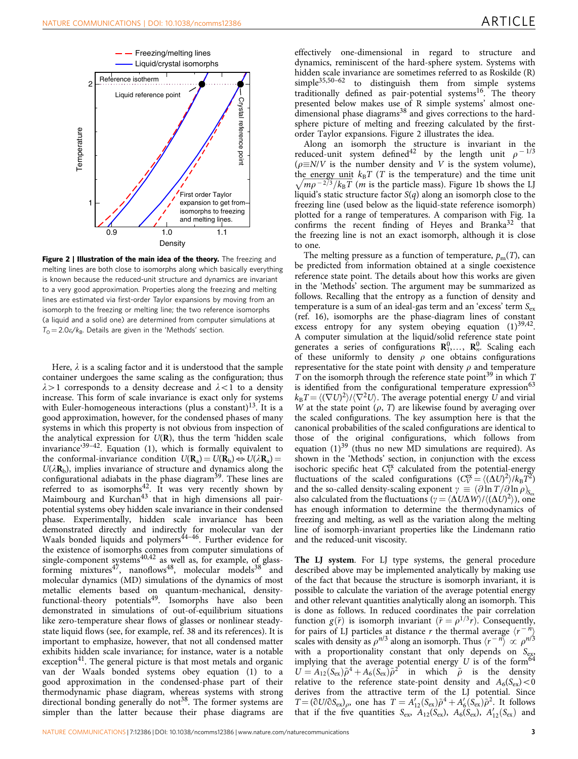<span id="page-2-0"></span>

Figure 2 | Illustration of the main idea of the theory. The freezing and melting lines are both close to isomorphs along which basically everything is known because the reduced-unit structure and dynamics are invariant to a very good approximation. Properties along the freezing and melting lines are estimated via first-order Taylor expansions by moving from an isomorph to the freezing or melting line; the two reference isomorphs (a liquid and a solid one) are determined from computer simulations at  $T_0 = 2.0\varepsilon/k_B$ . Details are given in the 'Methods' section.

Here,  $\lambda$  is a scaling factor and it is understood that the sample container undergoes the same scaling as the configuration; thus  $\lambda > 1$  corresponds to a density decrease and  $\lambda < 1$  to a density increase. This form of scale invariance is exact only for systems with Euler-homogeneous interactions (plus a constant)<sup>[13](#page-7-0)</sup>. It is a good approximation, however, for the condensed phases of many systems in which this property is not obvious from inspection of the analytical expression for  $U(\mathbf{R})$ , thus the term 'hidden scale invariance'[39–42](#page-7-0). Equation (1), which is formally equivalent to the conformal-invariance condition  $U(\mathbf{R}_a) = U(\mathbf{R}_b) \Leftrightarrow U(\lambda \mathbf{R}_a) =$  $U(\lambda \mathbf{R}_b)$ , implies invariance of structure and dynamics along the configurational adiabats in the phase diagram<sup>[39](#page-7-0)</sup>. These lines are referred to as isomorphs<sup>42</sup>. It was very recently shown by Maimbourg and Kurchan<sup>43</sup> that in high dimensions all pairpotential systems obey hidden scale invariance in their condensed phase. Experimentally, hidden scale invariance has been demonstrated directly and indirectly for molecular van der Waals bonded liquids and polymers<sup>44–46</sup>. Further evidence for the existence of isomorphs comes from computer simulations of single-component systems<sup>[40,42](#page-7-0)</sup> as well as, for example, of glassforming mixtures<sup>47</sup>, nanoflows<sup>48</sup>, molecular models<sup>38</sup> and molecular dynamics (MD) simulations of the dynamics of most metallic elements based on quantum-mechanical, densityfunctional-theory potentials<sup>49</sup>. Isomorphs have also been demonstrated in simulations of out-of-equilibrium situations like zero-temperature shear flows of glasses or nonlinear steadystate liquid flows (see, for example, [ref. 38](#page-7-0) and its references). It is important to emphasize, however, that not all condensed matter exhibits hidden scale invariance; for instance, water is a notable exception $41$ . The general picture is that most metals and organic van der Waals bonded systems obey equation (1) to a good approximation in the condensed-phase part of their thermodynamic phase diagram, whereas systems with strong directional bonding generally do not<sup>38</sup>. The former systems are simpler than the latter because their phase diagrams are

effectively one-dimensional in regard to structure and dynamics, reminiscent of the hard-sphere system. Systems with hidden scale invariance are sometimes referred to as Roskilde (R) simple<sup>35,50-62</sup> to distinguish them from simple systems traditionally defined as pair-potential systems<sup>[16](#page-7-0)</sup>. The theory presented below makes use of R simple systems' almost one- $\frac{1}{2}$  dimensional phase diagrams<sup>[38](#page-7-0)</sup> and gives corrections to the hardsphere picture of melting and freezing calculated by the firstorder Taylor expansions. [Figure 2](#page-1-0) illustrates the idea.

Along an isomorph the structure is invariant in the reduced-unit system defined<sup>[42](#page-8-0)</sup> by the length unit  $\rho$ <sup>-1/3</sup>  $(\rho \equiv N/V)$  is the number density and V is the system volume), the energy unit  $k_BT$  (T is the temperature) and the time unit  $\sqrt{mp^{-2/3}/k_BT}$  (*n* is the particle mass). [Figure 1b](#page-1-0) shows the LJ liquid's static structure factor  $S(q)$  along an isomorph close to the freezing line (used below as the liquid-state reference isomorph) plotted for a range of temperatures. A comparison with [Fig. 1a](#page-1-0) confirms the recent finding of Heyes and Branka $32$  that the freezing line is not an exact isomorph, although it is close to one.

The melting pressure as a function of temperature,  $p_m(T)$ , can be predicted from information obtained at a single coexistence reference state point. The details about how this works are given in the 'Methods' section. The argument may be summarized as follows. Recalling that the entropy as a function of density and temperature is a sum of an ideal-gas term and an 'excess' term  $S_{\rm ex}$ ([ref. 16](#page-7-0)), isomorphs are the phase-diagram lines of constant excess entropy for any system obeying equation  $(1)^{39,42}$ . A computer simulation at the liquid/solid reference state point generates a series of configurations  $\mathbb{R}_1^0, \ldots, \mathbb{R}_n^0$ . Scaling each of these uniformly to density  $\rho$  one obtains configurations representative for the state point with density  $\rho$  and temperature T on the isomorph through the reference state point<sup>[39](#page-7-0)</sup> in which  $T$ is identified from the configurational temperature expression<sup>[63](#page-8-0)</sup>  $k_{\rm B}T\!=\!\langle (\nabla U)^2 \rangle/\langle \nabla^2 U \rangle.$  The average potential energy  $U$  and virial W at the state point  $(\rho, T)$  are likewise found by averaging over the scaled configurations. The key assumption here is that the canonical probabilities of the scaled configurations are identical to those of the original configurations, which follows from equation  $(1)^{39}$  (thus no new MD simulations are required). As shown in the 'Methods' section, in conjunction with the excess isochoric specific heat  $C_V^{\text{ex}}$  calculated from the potential-energy fluctuations of the scaled configurations  $(C_V^{\text{ex}} = \langle (\Delta U)^2 \rangle / k_{\text{B}} T^2)$ and the so-called density-scaling exponent  $\gamma \equiv (\partial \ln T / \partial \ln \rho)_{S_{\text{est}}}$ also calculated from the fluctuations  $(\gamma = \langle \Delta U \Delta W \rangle / \langle (\Delta U)^2 \rangle)$ , one has enough information to determine the thermodynamics of freezing and melting, as well as the variation along the melting line of isomorph-invariant properties like the Lindemann ratio and the reduced-unit viscosity.

The LJ system. For LJ type systems, the general procedure described above may be implemented analytically by making use of the fact that because the structure is isomorph invariant, it is possible to calculate the variation of the average potential energy and other relevant quantities analytically along an isomorph. This is done as follows. In reduced coordinates the pair correlation function  $g(\tilde{r})$  is isomorph invariant  $(\tilde{r} = \rho^{1/3}r)$ . Consequently, for pairs of LJ particles at distance r the thermal average  $\langle r^{-n} \rangle$ scales with density as  $\rho^{n/3}$  along an isomorph. Thus  $\langle r^{-n} \rangle \propto \rho^{n/3}$ with a proportionality constant that only depends on  $S_{\text{ex}}$ implying that the average potential energy  $U$  is of the form<sup>[64](#page-8-0)</sup>  $U = A_{12}(S_{ex})\tilde{\rho}^4 + A_6(S_{ex})\tilde{\rho}^2$  in which  $\tilde{\rho}$  is the density relative to the reference state-point density and  $A_6(S_{ex}) < 0$ derives from the attractive term of the LJ potential. Since  $T = (\partial U/\partial S_{\text{ex}})_{\rho}$ , one has  $T = A'_{12}(S_{\text{ex}})\tilde{\rho}^4 + A'_{6}(S_{\text{ex}})\tilde{\rho}^2$ . It follows that if the five quantities  $S_{\text{ex}}$ ,  $A_{12}(S_{\text{ex}})$ ,  $A_6(S_{\text{ex}})$ ,  $A'_{12}(S_{\text{ex}})$  and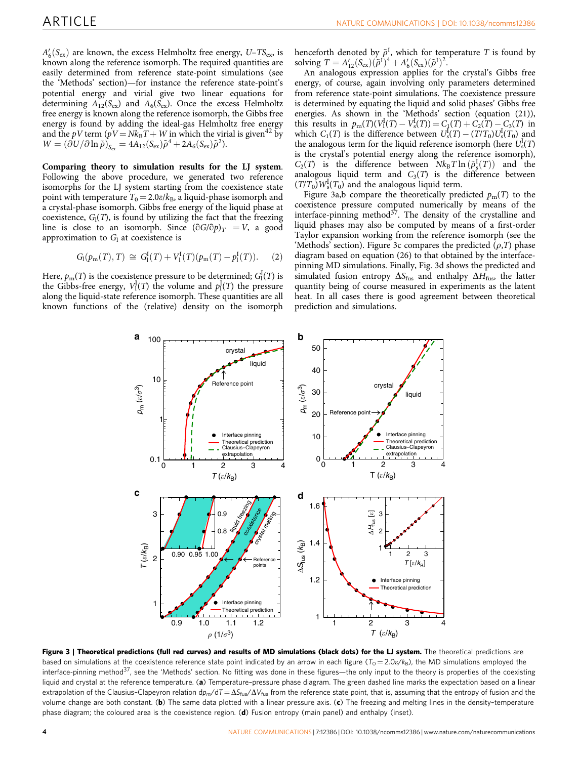<span id="page-3-0"></span> $A'_6(S_{\text{ex}})$  are known, the excess Helmholtz free energy,  $U-TS_{\text{ex}}$  is known along the reference isomorph. The required quantities are easily determined from reference state-point simulations (see the 'Methods' section)—for instance the reference state-point's potential energy and virial give two linear equations for determining  $A_{12}(S_{\rm ex})$  and  $A_6(S_{\rm ex})$ . Once the excess Helmholtz free energy is known along the reference isomorph, the Gibbs free energy is found by adding the ideal-gas Helmholtz free energy and the *pV* term ( $pV = Nk_B T + W$  in which the virial is given<sup>42</sup> by  $W = (\partial U/\partial \ln \tilde{\rho})_{S_{\rm av}} = 4A_{12}(S_{\rm ex})\tilde{\rho}^4 + 2A_6(S_{\rm ex})\tilde{\rho}^2.$ 

Comparing theory to simulation results for the LJ system. Following the above procedure, we generated two reference isomorphs for the LJ system starting from the coexistence state point with temperature  $T_0 = 2.0\varepsilon/k_B$ , a liquid-phase isomorph and a crystal-phase isomorph. Gibbs free energy of the liquid phase at coexistence,  $G_1(T)$ , is found by utilizing the fact that the freezing line is close to an isomorph. Since  $(\partial G/\partial p)_T = V$ , a good approximation to  $G<sub>l</sub>$  at coexistence is

$$
G_{l}(p_{m}(T), T) \cong G_{l}^{I}(T) + V_{l}^{I}(T)(p_{m}(T) - p_{l}^{I}(T)). \tag{2}
$$

Here,  $p_\text{m}(T)$  is the coexistence pressure to be determined;  $G^{\text{I}}_{\text{I}}(T)$  is the Gibbs-free energy,  $V_1^I(T)$  the volume and  $p_1^I(T)$  the pressure along the liquid-state reference isomorph. These quantities are all known functions of the (relative) density on the isomorph henceforth denoted by  $\tilde{\rho}^I$ , which for temperature T is found by solving  $T = A'_{12}(S_{\text{ex}})(\tilde{\rho}^{1})^{4} + A'_{6}(S_{\text{ex}})(\tilde{\rho}^{1})^{2}$ .

An analogous expression applies for the crystal's Gibbs free energy, of course, again involving only parameters determined from reference state-point simulations. The coexistence pressure is determined by equating the liquid and solid phases' Gibbs free energies. As shown in the 'Methods' section (equation (21)), this results in  $p_m(T)(V_1^I(T) - V_s^I(T)) = C_1(T) + C_2(T) - C_3(T)$  in which  $C_1(T)$  is the difference between  $U_s^{\rm I}(T) - (T/T_0)U_s^{\rm I}(T_0)$  and the analogous term for the liquid reference isomorph (here  $U_s^{\text{I}}(T)$ is the crystal's potential energy along the reference isomorph),  $C_2(T)$  is the difference between  $Nk_BT \ln(\tilde{\rho}_s^T(T))$  and the analogous liquid term and  $C_3(T)$  is the difference between  $(T/T_0) W_s^{\rm I}(T_0)$  and the analogous liquid term.

Figure 3a,b compare the theoretically predicted  $p_m(T)$  to the coexistence pressure computed numerically by means of the interface-pinning method $37$ . The density of the crystalline and liquid phases may also be computed by means of a first-order Taylor expansion working from the reference isomorph (see the 'Methods' section). Figure 3c compares the predicted  $(\rho, T)$  phase diagram based on equation (26) to that obtained by the interfacepinning MD simulations. Finally, Fig. 3d shows the predicted and simulated fusion entropy  $\Delta S_{\text{fus}}$  and enthalpy  $\Delta H_{\text{fus}}$ , the latter quantity being of course measured in experiments as the latent heat. In all cases there is good agreement between theoretical prediction and simulations.



Figure 3 | Theoretical predictions (full red curves) and results of MD simulations (black dots) for the LJ system. The theoretical predictions are based on simulations at the coexistence reference state point indicated by an arrow in each figure ( $T_0 = 2.0 \epsilon/k_B$ ), the MD simulations employed the interface-pinning method<sup>37</sup>, see the 'Methods' section. No fitting was done in these figures—the only input to the theory is properties of the coexisting liquid and crystal at the reference temperature. (a) Temperature-pressure phase diagram. The green dashed line marks the expectation based on a linear extrapolation of the Clausius–Clapeyron relation  $dp_m/dT = \Delta S_{fus}/\Delta V_{fus}$  from the reference state point, that is, assuming that the entropy of fusion and the volume change are both constant. (b) The same data plotted with a linear pressure axis. (c) The freezing and melting lines in the density-temperature phase diagram; the coloured area is the coexistence region. (d) Fusion entropy (main panel) and enthalpy (inset).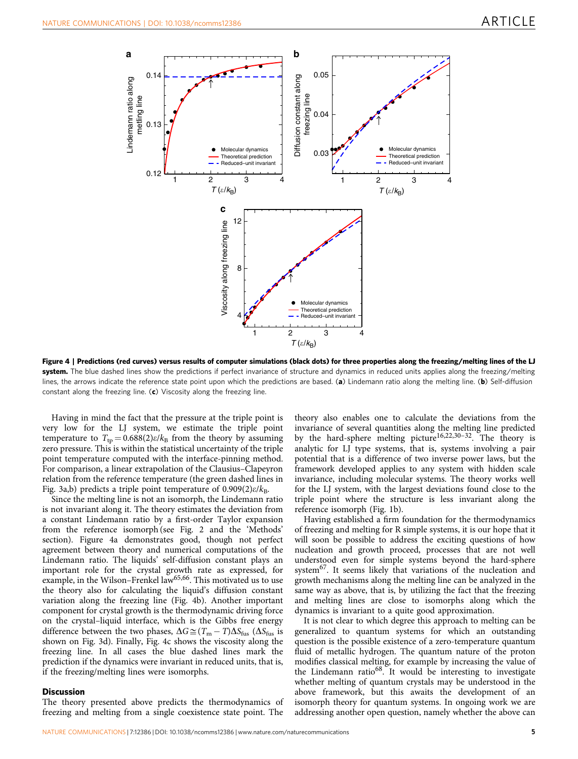

Figure 4 | Predictions (red curves) versus results of computer simulations (black dots) for three properties along the freezing/melting lines of the LJ system. The blue dashed lines show the predictions if perfect invariance of structure and dynamics in reduced units applies along the freezing/melting lines, the arrows indicate the reference state point upon which the predictions are based. (a) Lindemann ratio along the melting line. (b) Self-diffusion constant along the freezing line. (c) Viscosity along the freezing line.

Having in mind the fact that the pressure at the triple point is very low for the LJ system, we estimate the triple point temperature to  $T_{\text{tp}} = 0.688(2)\varepsilon/k_{\text{B}}$  from the theory by assuming zero pressure. This is within the statistical uncertainty of the triple point temperature computed with the interface-pinning method. For comparison, a linear extrapolation of the Clausius–Clapeyron relation from the reference temperature (the green dashed lines in [Fig. 3a,b](#page-3-0)) predicts a triple point temperature of  $0.909(2)\varepsilon/k_{\rm B}$ .

Since the melting line is not an isomorph, the Lindemann ratio is not invariant along it. The theory estimates the deviation from a constant Lindemann ratio by a first-order Taylor expansion from the reference isomorph (see [Fig. 2](#page-1-0) and the 'Methods' section). [Figure 4a](#page-2-0) demonstrates good, though not perfect agreement between theory and numerical computations of the Lindemann ratio. The liquids' self-diffusion constant plays an important role for the crystal growth rate as expressed, for example, in the Wilson–Frenkel law<sup>[65,66](#page-8-0)</sup>. This motivated us to use the theory also for calculating the liquid's diffusion constant variation along the freezing line ([Fig. 4b](#page-2-0)). Another important component for crystal growth is the thermodynamic driving force on the crystal–liquid interface, which is the Gibbs free energy difference between the two phases,  $\Delta G \cong (T_{\rm m} - T) \Delta S_{\rm fus}$  ( $\Delta S_{\rm fus}$  is shown on [Fig. 3d\)](#page-3-0). Finally, Fig. 4c shows the viscosity along the freezing line. In all cases the blue dashed lines mark the prediction if the dynamics were invariant in reduced units, that is, if the freezing/melting lines were isomorphs.

# **Discussion**

The theory presented above predicts the thermodynamics of freezing and melting from a single coexistence state point. The

theory also enables one to calculate the deviations from the invariance of several quantities along the melting line predicted by the hard-sphere melting picture<sup>16,22,30-32</sup>. The theory is analytic for LJ type systems, that is, systems involving a pair potential that is a difference of two inverse power laws, but the framework developed applies to any system with hidden scale invariance, including molecular systems. The theory works well for the LJ system, with the largest deviations found close to the triple point where the structure is less invariant along the reference isomorph [\(Fig. 1b](#page-1-0)).

Having established a firm foundation for the thermodynamics of freezing and melting for R simple systems, it is our hope that it will soon be possible to address the exciting questions of how nucleation and growth proceed, processes that are not well understood even for simple systems beyond the hard-sphere system[67.](#page-8-0) It seems likely that variations of the nucleation and growth mechanisms along the melting line can be analyzed in the same way as above, that is, by utilizing the fact that the freezing and melting lines are close to isomorphs along which the dynamics is invariant to a quite good approximation.

It is not clear to which degree this approach to melting can be generalized to quantum systems for which an outstanding question is the possible existence of a zero-temperature quantum fluid of metallic hydrogen. The quantum nature of the proton modifies classical melting, for example by increasing the value of the Lindemann ratio<sup>68</sup>. It would be interesting to investigate whether melting of quantum crystals may be understood in the above framework, but this awaits the development of an isomorph theory for quantum systems. In ongoing work we are addressing another open question, namely whether the above can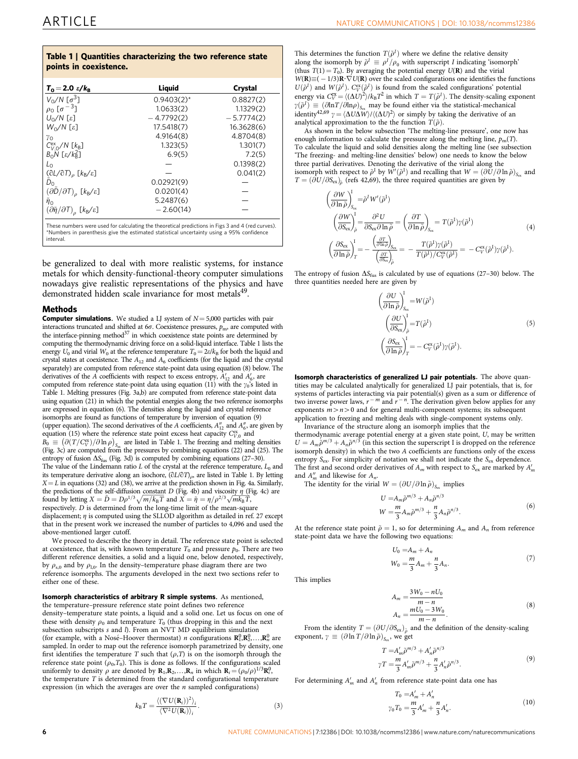# Table 1 | Quantities characterizing the two reference state points in coexistence.

| $T_0 = 2.0 \frac{E}{k_B}$                                  | Liquid        | Crystal      |
|------------------------------------------------------------|---------------|--------------|
| $V_0/N$ $[\sigma^3]$                                       | $0.9403(2)$ * | 0.8827(2)    |
| $\rho_0$ [ $\sigma^{-3}$ ]                                 | 1.0633(2)     | 1.1329(2)    |
| $U_0/N$ [ $\varepsilon$ ]                                  | $-4.7792(2)$  | $-5.7774(2)$ |
| $W_0/N$ [ $\varepsilon$ ]                                  | 17.5418(7)    | 16.3628(6)   |
| $\gamma_{\rm O}$                                           | 4.9164(8)     | 4.8704(8)    |
| $C_{V}^{ex}$ <sub>O</sub> /N [ $k_B$ ]                     | 1.323(5)      | 1.301(7)     |
| $B_0N$ [ $\epsilon/k_B^2$ ]                                | 6.9(5)        | 7.2(5)       |
| $L_{\Omega}$                                               |               | 0.1398(2)    |
| $(\partial L/\partial T)$ <sub>ρ</sub> $[k_B/\varepsilon]$ |               | 0.041(2)     |
| $\tilde{D}_0$                                              | 0.02921(9)    |              |
| $(\partial D/\partial T)$ <sub>ρ</sub> [k <sub>B</sub> /ε] | 0.0201(4)     |              |
| $\tilde{\eta}_0$                                           | 5.2487(6)     |              |
| $(\partial \tilde{\eta}/\partial T)$ [kB/ε]                | $-2.60(14)$   |              |

These numbers were used for calculating the theoretical predictions in [Figs 3 and 4](#page-3-0) (red curves). \*Numbers in parenthesis give the estimated statistical uncertainty using a 95% confidence interval.

be generalized to deal with more realistic systems, for instance metals for which density-functional-theory computer simulations nowadays give realistic representations of the physics and have demonstrated hidden scale invariance for most metals<sup>49</sup>.

## **Mathods**

**Computer simulations.** We studied a LJ system of  $N = 5,000$  particles with pair interactions truncated and shifted at  $6\sigma$ . Coexistence pressures,  $p_{\text{m}}$ , are computed with the interface-pinning method $37$  in which coexistence state points are determined by computing the thermodynamic driving force on a solid-liquid interface. Table 1 lists the energy  $U_0$  and virial  $W_0$  at the reference temperature  $T_0 = 2\varepsilon/k_B$  for both the liquid and crystal states at coexistence. The  $A_{12}$  and  $A_6$  coefficients (for the liquid and the crystal separately) are computed from reference state-point data using equation (8) below. The derivatives of the A coefficients with respect to excess entropy,  $A'_{12}$  and  $A'_{6}$ , are computed from reference state-point data using equation (11) with the  $\gamma_0$ 's listed in Table 1. Melting pressures [\(Fig. 3a,b\)](#page-3-0) are computed from reference state-point data using equation (21) in which the potential energies along the two reference isomorphs are expressed in equation (6). The densities along the liquid and crystal reference isomorphs are found as functions of temperature by inversion of equation (9) (upper equation). The second derivatives of the A coefficients,  $A_{12}''$  and  $A_6''$ , are given by equation (15) where the reference state point excess heat capacity  $C_{V,0}^{\text{ex}}$  and  $\alpha_{\text{H}}$  =  $\beta$ ( $\beta$ ( $T/\zeta\bar{\zeta}$ )/ $\beta$  ln  $\rho$ )<sub>s</sub> are listed in Table 1. The freezing and melting densities [\(Fig. 3c\)](#page-3-0) are computed from the pressures by combining equations (22) and (25). The entropy of fusion  $\Delta S_{\text{fus}}$  [\(Fig. 3d\)](#page-3-0) is computed by combining equations (27–30). The value of the Lindemann ratio  $L$  of the crystal at the reference temperature,  $L_0$  and its temperature derivative along an isochore,  $(\partial L/\partial T)_{\rho}$ , are listed in Table 1. By letting  $X = L$  in equations (32) and (38), we arrive at the prediction shown in [Fig. 4a.](#page-2-0) Similarly, the predictions of the self-diffusion constant *D* [\(Fig. 4b](#page-2-0)) and viscosity  $\eta$  ([Fig. 4c\)](#page-2-0) are found by letting  $X = \overline{D} = D\rho^{1/3}\sqrt{m/k_B T}$  and  $X = \tilde{\eta} = \eta/\rho^{2/3}\sqrt{mk_B T}$ , respectively. D is determined from the long-time limit of the mean-square displacement;  $\eta$  is computed using the SLLOD algorithm as detailed in [ref. 27](#page-7-0) except

that in the present work we increased the number of particles to 4,096 and used the above-mentioned larger cutoff.

We proceed to describe the theory in detail. The reference state point is selected at coexistence, that is, with known temperature  $T_0$  and pressure  $p_0$ . There are two different reference densities, a solid and a liquid one, below denoted, respectively, by  $\rho_{s,0}$  and by  $\rho_{l,0}$ . In the density–temperature phase diagram there are two reference isomorphs. The arguments developed in the next two sections refer to either one of these.

# Isomorph characteristics of arbitrary R simple systems. As mentioned,

the temperature–pressure reference state point defines two reference density–temperature state points, a liquid and a solid one. Let us focus on one of these with density  $\rho_0$  and temperature  $T_0$  (thus dropping in this and the next subsection subscripts s and l). From an NVT MD equilibrium simulation (for example, with a Nosé-Hoover thermostat) *n* configurations  $\mathbf{R}_1^0, \mathbf{R}_2^0, \ldots, \mathbf{R}_n^0$  are sampled. In order to map out the reference isomorph parametrized by density, one first identifies the temperature  $T$  such that  $(\rho,T)$  is on the isomorph through the reference state point  $(\rho_0, T_0)$ . This is done as follows. If the configurations scaled uniformly to density  $\rho$  are denoted by  $\mathbf{R}_1, \mathbf{R}_2, \ldots, \mathbf{R}_n$  in which  $\mathbf{R}_i = (\rho_0/\rho)^{1/3} \mathbf{R}_i^0$ , the temperature T is determined from the standard configurational temperature expression (in which the averages are over the  $n$  sampled configurations)

$$
k_{\mathrm{B}}T = \frac{\langle (\nabla U(\mathbf{R}_i))^2 \rangle_i}{\langle \nabla^2 U(\mathbf{R}_i) \rangle_i}.
$$
 (3)

This determines the function  $T(\tilde{\rho}^I)$  where we define the relative density along the isomorph by  $\tilde{\rho}^I \equiv \rho^I/\rho_0$  with superscript *I* indicating 'isomorph' (thus  $T(1) = T_0$ ). By averaging the potential energy  $U(\mathbf{R})$  and the virial  $W(\mathbf{R}) \equiv (-1/3)\mathbf{R} \cdot \nabla U(\mathbf{R})$  over the scaled configurations one identifies the functions  $U(\tilde{\rho}^I)$  and  $W(\tilde{\rho}^I)$ .  $C_V^{\text{ex}}(\tilde{\rho}^I)$  is found from the scaled configurations' potential energy via  $C_V^{\text{ex}} = \langle (\Delta U)^2 \rangle / k_B T^2$  in which  $T = T(\tilde{\rho}^I)$ . The density-scaling exponent  $\gamma(\tilde{\rho}^I) \equiv (\partial \ln T / \partial \ln \rho)_{S_{\text{ext}}}$  may be found either via the statistical-mechanical identity<sup>[42,69](#page-8-0)</sup>  $\gamma = \langle \Delta U \Delta W \rangle / \langle (\Delta U)^2 \rangle$  or simply by taking the derivative of an analytical approximation to the the function  $T(\tilde{\rho})$ .

As shown in the below subsection 'The melting-line pressure', one now has enough information to calculate the pressure along the melting line,  $p_m(T)$ . To calculate the liquid and solid densities along the melting line (see subsection 'The freezing- and melting-line densities' below) one needs to know the below three partial derivatives. Denoting the derivative of the virial along the isomorph with respect to  $\tilde{\rho}^I$  by  $W'(\tilde{\rho}^I)$  and recalling that  $W = (\partial U/\partial \ln \tilde{\rho})_{S_{\text{ex}}}$  and  $T = (\partial U/\partial S_{\text{ex}})_{\tilde{\rho}}$  ([refs 42,69\)](#page-8-0), the three required quantities are given by

$$
\left(\frac{\partial W}{\partial \ln \tilde{\rho}}\right)_{S_{\text{ex}}}^{I} = \tilde{\rho}^{I} W'(\tilde{\rho}^{I})
$$
\n
$$
\left(\frac{\partial W}{\partial S_{\text{ex}}} \right)_{\tilde{\rho}}^{I} = \frac{\partial^{2} U}{\partial S_{\text{ex}} \partial \ln \tilde{\rho}} = \left(\frac{\partial T}{\partial \ln \tilde{\rho}}\right)_{S_{\text{ex}}} = T(\tilde{\rho}^{I}) \gamma(\tilde{\rho}^{I})
$$
\n
$$
\left(\frac{\partial S_{\text{ex}}}{\partial \ln \tilde{\rho}}\right)_{I}^{I} = -\frac{\left(\frac{\partial T}{\partial \ln \tilde{\rho}}\right)_{S_{\text{ex}}}}{\left(\frac{\partial T}{\partial S_{\text{ex}}}\right)_{\tilde{\rho}}} = -\frac{T(\tilde{\rho}^{I}) \gamma(\tilde{\rho}^{I})}{T(\tilde{\rho}^{I}) / C_{\gamma}^{\text{ex}}(\tilde{\rho}^{I})} = -C_{V}^{\text{ex}}(\tilde{\rho}^{I}) \gamma(\tilde{\rho}^{I}).
$$
\n(4)

The entropy of fusion  $\Delta S_{\text{fus}}$  is calculated by use of equations (27–30) below. The three quantities needed here are given by

$$
\left(\frac{\partial U}{\partial \ln \tilde{\rho}}\right)_{S_{\rm ex}}^{I} = W(\tilde{\rho}^{I})
$$
\n
$$
\left(\frac{\partial U}{\partial S_{\rm ex}}\right)_{\tilde{\rho}}^{I} = T(\tilde{\rho}^{I})
$$
\n
$$
\left(\frac{\partial S_{\rm ex}}{\partial \ln \tilde{\rho}}\right)_{T}^{I} = -C_{V}^{\rm ex}(\tilde{\rho}^{I})\gamma(\tilde{\rho}^{I}).
$$
\n(5)

Isomorph characteristics of generalized LJ pair potentials. The above quantities may be calculated analytically for generalized LJ pair potentials, that is, for systems of particles interacting via pair potential(s) given as a sum or difference of two inverse power laws,  $r^{-m}$  and  $r^{-n}$ . The derivation given below applies for any exponents  $m > n > 0$  and for general multi-component systems; its subsequent application to freezing and melting deals with single-component systems only. Invariance of the structure along an isomorph implies that the

thermodynamic average potential energy at a given state point, U, may be written  $U = A_m \tilde{\rho}^{m/3} + A_n \tilde{\rho}^{n/3}$  (in this section the superscript I is dropped on the reference isomorph density) in which the two A coefficients are functions only of the excess entropy  $S_{\text{ex}}$ . For simplicity of notation we shall not indicate the  $S_{\text{ex}}$  dependence. The first and second order derivatives of  $A_m$  with respect to  $S_{\text{ex}}$  are marked by  $A'_m$ and  $A''_m$  and likewise for  $A_n$ .

The identity for the virial  $W = (\partial U/\partial \ln \tilde{\rho})_{S_{\text{av}}}$  implies

$$
U = A_m \tilde{\rho}^{m/3} + A_n \tilde{\rho}^{n/3}
$$
  
 
$$
W = \frac{m}{3} A_m \tilde{\rho}^{m/3} + \frac{n}{3} A_n \tilde{\rho}^{n/3}.
$$
 (6)

At the reference state point  $\tilde{\rho} = 1$ , so for determining  $A_m$  and  $A_n$  from reference state-point data we have the following two equations:

$$
U_0 = A_m + A_n
$$
  
\n
$$
W_0 = \frac{m}{3} A_m + \frac{n}{3} A_n.
$$
\n(7)

This implies

$$
A_m = \frac{3W_0 - nU_0}{m - n}
$$
  
\n
$$
A_n = \frac{mU_0 - 3W_0}{m - n}.
$$
 (8)

From the identity  $T = (\partial U/\partial S_{\text{ex}})_{\tilde{\rho}}$  and the definition of the density-scaling exponent,  $\gamma \equiv (\partial \ln T / \partial \ln \tilde{\rho})_{S_{\text{av}}}$ , we get

$$
T = A'_{m}\tilde{\rho}^{m/3} + A'_{n}\tilde{\rho}^{n/3}
$$
  

$$
\gamma T = \frac{m}{3}A'_{m}\tilde{\rho}^{m/3} + \frac{n}{3}A'_{n}\tilde{\rho}^{n/3}.
$$
 (9)

For determining  $A'_m$  and  $A'_n$  from reference state-point data one has

$$
T_0 = A'_m + A'_n
$$
  

$$
\gamma_0 T_0 = \frac{m}{3} A'_m + \frac{n}{3} A'_n.
$$
 (10)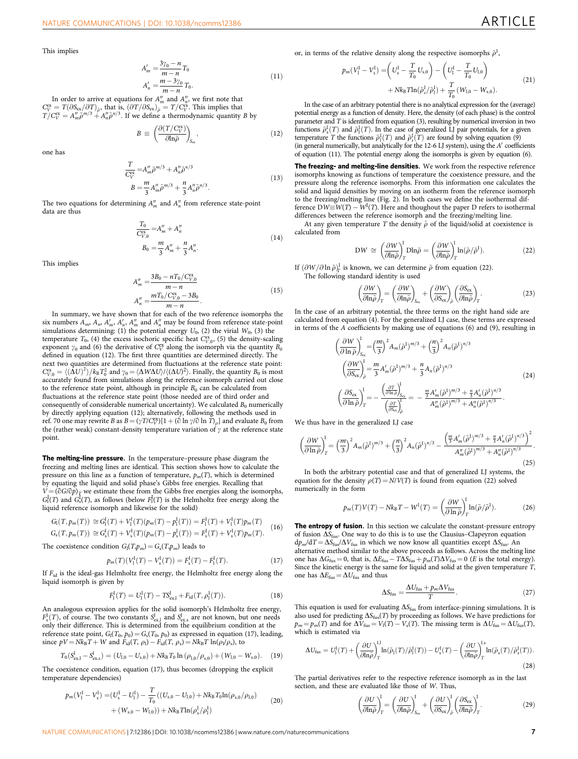This implies

$$
A'_{m} = \frac{3\gamma_{0} - n}{m - n} T_{0}
$$
  
\n
$$
A'_{n} = \frac{m - 3\gamma_{0}}{m - n} T_{0}.
$$
\n(11)

In order to arrive at equations for  $A''_m$  and  $A''_n$ , we first note that  $\int_{\text{C}^{\text{V}}}^{\text{C}^{\text{V}}} = T(\partial \text{S}_{\text{ex}}/\partial T)_{\tilde{\rho}}$ , that is,  $(\partial T/\partial \text{S}_{\text{ex}})_{\tilde{\rho}} = T/C^{\text{X}}_{\text{r}}$ . This implies that  $T/C^{\text{V}}_{\text{v}} = A''_m \tilde$ 

$$
B \equiv \left(\frac{\partial (T/C_V^{\rm ex})}{\partial \ln \tilde{\rho}}\right)_{S_{\rm ex}},\tag{12}
$$

one has

$$
\frac{T}{C_V^{\text{ex}}} = A_m'' \bar{\rho}^{m/3} + A_n'' \bar{\rho}^{n/3}
$$
\n
$$
B = \frac{m}{3} A_m'' \bar{\rho}^{m/3} + \frac{n}{3} A_n'' \bar{\rho}^{n/3}.
$$
\n(13)

The two equations for determining  $A''_m$  and  $A''_n$  from reference state-point data are thus

$$
\frac{T_0}{C_{V,0}^{ex}} = A_m'' + A_n''
$$
  
\n
$$
B_0 = \frac{m}{3} A_m'' + \frac{n}{3} A_n''.
$$
\n(14)

This implies

$$
A''_m = \frac{3B_0 - nT_0/C_{Y,0}^{\text{ex}}}{m-n}
$$
  

$$
A''_n = \frac{mT_0/C_{Y,0}^{\text{ex}} - 3B_0}{m-n}.
$$
 (15)

In summary, we have shown that for each of the two reference isomorphs the six numbers  $A_m$ ,  $A'_m$ ,  $A''_m$ ,  $A''_m$ , and  $A''_n$  may be found from reference state-point simulations determining: (1) the potential energy  $U_0$ , (2) the virial  $W_0$ , (3) the temperature  $T_0$ , (4) the excess isochoric specific heat  $C_{V,0}^{\text{ex}}$ , (5) the density-scaling exponent  $\gamma_0$  and (6) the derivative of  $C_V^{\text{ex}}$  along the isomorph via the quantity  $B_0$ defined in equation (12). The first three quantities are determined directly. The next two quantities are determined from fluctuations at the reference state point:  $C_{V,0}^{\text{ex}} = \langle (\Delta U)^2 \rangle / k_B T_0^2$  and  $\gamma_0 = \langle \Delta W \Delta U \rangle / \langle (\Delta U)^2 \rangle$ . Finally, the quantity  $B_0$  is most accurately found from simulations along the reference isomorph carried out close to the reference state point, although in principle  $B_0$  can be calculated from fluctuations at the reference state point (those needed are of third order and consequently of considerable numerical uncertainty). We calculated  $B_0$  numerically by directly applying equation (12); alternatively, following the methods used in [ref. 70](#page-8-0) one may rewrite B as  $B = (\gamma T/C_V^{\text{ex}})[1 + (\hat{\text{c}} \ln \gamma/\hat{\text{c}} \ln T)_\rho]$  and evaluate  $B_0$  from the (rather weak) constant-density temperature variation of  $\gamma$  at the reference state point.

The melting-line pressure. In the temperature–pressure phase diagram the freezing and melting lines are identical. This section shows how to calculate the pressure on this line as a function of temperature,  $p_m(T)$ , which is determined by equating the liquid and solid phase's Gibbs free energies. Recalling that  $V = (c \cdot \partial G/\partial p)_T$  we estimate these from the Gibbs free energies along the isomorphs,  $G_1^I(T)$  and  $G_s^I(T)$ , as follows (below  $F_1^I(T)$  is the Helmholtz free energy along the liquid reference isomorph and likewise for the solid)

$$
G_{\rm I}(T, p_m(T)) \cong G_{\rm I}^{\rm I}(T) + V_{\rm I}^{\rm I}(T)(p_m(T) - p_{\rm I}^{\rm I}(T)) = F_{\rm I}^{\rm I}(T) + V_{\rm I}^{\rm I}(T)p_m(T)
$$
  
\n
$$
G_{\rm s}(T, p_m(T)) \cong G_{\rm s}^{\rm I}(T) + V_{\rm s}^{\rm I}(T)(p_m(T) - p_{\rm s}^{\rm I}(T)) = F_{\rm s}^{\rm I}(T) + V_{\rm s}^{\rm I}(T)p_m(T).
$$
 (16)

The coexistence condition  $G_1(T, p_m) = G_s(T, p_m)$  leads to

$$
p_m(T)(V_1^{\rm I}(T) - V_s^{\rm I}(T)) = F_s^{\rm I}(T) - F_1^{\rm I}(T). \tag{17}
$$

If Fid is the ideal-gas Helmholtz free energy, the Helmholtz free energy along the liquid isomorph is given by

$$
F_1^{\rm I}(T) = U_1^{\rm I}(T) - T S_{\rm ex, I}^{\rm I} + F_{\rm id}(T, \rho_1^{\rm I}(T)). \tag{18}
$$

An analogous expression applies for the solid isomorph's Helmholtz free energy,  $F^{\text{I}}_{\text{s}}(T)$ , of course. The two constants  $S^{\text{I}}_{\text{ex},1}$  and  $S^{\text{I}}_{\text{ex},s}$  are not known, but one needs only their difference. This is determined from the equilibrium condition at the reference state point,  $G_1(T_0, p_0) = G_s(T_0, p_0)$  as expressed in equation (17), leading, since  $pV = Nk_B T + W$  and  $F_{\text{id}}(T, \rho_1) - F_{\text{id}}(T, \rho_s) = Nk_B T \ln(\rho_1/\rho_s)$ , to

$$
T_0(S_{\text{ex},l}^I - S_{\text{ex},s}^I) = (U_{l,0} - U_{s,0}) + Nk_B T_0 \ln \left( \rho_{l,0} / \rho_{s,0} \right) + (W_{l,0} - W_{s,0}). \tag{19}
$$

The coexistence condition, equation (17), thus becomes (dropping the explicit temperature dependencies)

$$
p_m(V_1^I - V_s^I) = (U_s^I - U_1^I) - \frac{T}{T_0}((U_{s,0} - U_{l,0}) + Nk_B T_0 \ln(\rho_{s,0}/\rho_{l,0}) + (W_{s,0} - W_{l,0})) + Nk_B T \ln(\rho_s^I/\rho_l^I)
$$
\n(20)

or, in terms of the relative density along the respective isomorphs  $\tilde{\rho}^I$ ,

$$
p_m(V_1^I - V_s^I) = \left(U_s^I - \frac{T}{T_0}U_{s,0}\right) - \left(U_1^I - \frac{T}{T_0}U_{l,0}\right) + Nk_B T \ln(\tilde{\rho}_s^I/\tilde{\rho}_l^I) + \frac{T}{T_0}(W_{l,0} - W_{s,0}).
$$
\n(21)

In the case of an arbitrary potential there is no analytical expression for the (average) potential energy as a function of density. Here, the density (of each phase) is the control parameter and  $\tilde{T}$  is identified from equation (3), resulting by numerical inversion in two functions  $\tilde{\rho}_s^I(T)$  and  $\tilde{\rho}_1^I(T)$ . In the case of generalized LJ pair potentials, for a given temperature T the functions  $\tilde{\rho}_1^1(T)$  and  $\tilde{\rho}_s^1(T)$  are found by solving equation (9) (in general numerically, but analytically for the 12-6 LJ system), using the  $A'$  coefficients of equation (11). The potential energy along the isomorphs is given by equation (6).

The freezing- and melting-line densities. We work from the respective reference isomorphs knowing as functions of temperature the coexistence pressure, and the pressure along the reference isomorphs. From this information one calculates the solid and liquid densities by moving on an isotherm from the reference isomorph to the freezing/melting line [\(Fig. 2](#page-2-0)). In both cases we define the isothermal difference  $DW \equiv W(T) - W^{I}(T)$ . Here and thoughout the paper D refers to isothermal differences between the reference isomorph and the freezing/melting line.

At any given temperature T the density  $\tilde{\rho}$  of the liquid/solid at coexistence is calculated from

$$
DW \cong \left(\frac{\partial W}{\partial \ln \tilde{\rho}}\right)_T^I \text{Dln}\tilde{\rho} = \left(\frac{\partial W}{\partial \ln \tilde{\rho}}\right)_T^I \ln(\tilde{\rho}/\tilde{\rho}^1). \tag{22}
$$

If  $(\partial W/\partial \ln \tilde{\rho})_T^1$  is known, we can determine  $\tilde{\rho}$  from equation (22). The following standard identity is used

$$
\left(\frac{\partial W}{\partial \ln \tilde{\rho}}\right)_T = \left(\frac{\partial W}{\partial \ln \tilde{\rho}}\right)_{S_{\text{ex}}} + \left(\frac{\partial W}{\partial S_{\text{ex}}}\right)_{\tilde{\rho}} \left(\frac{\partial S_{\text{ex}}}{\partial \ln \tilde{\rho}}\right)_T.
$$
\n(23)

In the case of an arbitrary potential, the three terms on the right hand side are calculated from equation (4). For the generalized LJ case, these terms are expressed in terms of the A coefficients by making use of equations (6) and (9), resulting in

$$
\left(\frac{\partial W}{\partial \ln \tilde{\rho}}\right)_{S_{\text{ex}}}^{I} = \left(\frac{m}{3}\right)^{2} A_{m} (\tilde{\rho}^{1})^{m/3} + \left(\frac{n}{3}\right)^{2} A_{n} (\tilde{\rho}^{1})^{n/3}
$$
\n
$$
\left(\frac{\partial W}{\partial S_{\text{ex}}}\right)_{\tilde{\rho}}^{I} = \frac{m}{3} A'_{m} (\tilde{\rho}^{1})^{m/3} + \frac{n}{3} A_{n} (\tilde{\rho}^{1})^{n/3}
$$
\n
$$
\left(\frac{\partial S_{\text{ex}}}{\partial \ln \tilde{\rho}}\right)_{T}^{I} = -\frac{\left(\frac{\partial T}{\partial \ln \tilde{\rho}}\right)_{S_{\text{ex}}}^{I}}{\left(\frac{\partial T}{\partial S_{\text{ex}}}\right)_{\tilde{\rho}}} = -\frac{\frac{m}{3} A'_{m} (\tilde{\rho}^{1})^{m/3} + \frac{n}{3} A'_{n} (\tilde{\rho}^{1})^{n/3}}{A''_{m} (\tilde{\rho}^{1})^{m/3} + A''_{n} (\tilde{\rho}^{1})^{n/3}}.
$$
\n(24)

We thus have in the generalized LJ case

$$
\left(\frac{\partial W}{\partial \ln \tilde{\rho}}\right)_T^I = \left(\frac{m}{3}\right)^2 A_m (\tilde{\rho}^I)^{m/3} + \left(\frac{n}{3}\right)^2 A_n (\tilde{\rho}^I)^{n/3} - \frac{\left(\frac{m}{3} A'_m (\tilde{\rho}^I)^{m/3} + \frac{n}{3} A'_n (\tilde{\rho}^I)^{n/3}\right)^2}{A''_m (\tilde{\rho}^I)^{m/3} + A''_n (\tilde{\rho}^I)^{n/3}}.
$$
\n(25)

In both the arbitrary potential case and that of generalized LJ systems, the equation for the density  $\rho(T) = N/V(T)$  is found from equation (22) solved numerically in the form

$$
p_m(T)V(T) - Nk_B T - W^{I}(T) = \left(\frac{\partial W}{\partial \ln \tilde{\rho}}\right)_{T} \ln(\tilde{\rho}/\tilde{\rho}^{I}).
$$
 (26)

The entropy of fusion. In this section we calculate the constant-pressure entropy of fusion  $\Delta S_{\text{fus}}$ . One way to do this is to use the Clausius–Clapeyron equation  $dp_m/dT = \Delta S_{fus}/\Delta V_{fus}$  in which we now know all quantities except  $\Delta S_{fus}$ . An alternative method similar to the above proceeds as follows. Across the melting line one has  $\Delta G_{\text{fus}} = 0$ , that is,  $\Delta E_{\text{fus}} - T\Delta S_{\text{fus}} + p_m(T)\Delta V_{\text{fus}} = 0$  (*E* is the total energy). Since the kinetic energy is the same for liquid and solid at the given temperature T, one has  $\Delta E_{\text{fus}} = \Delta U_{\text{fus}}$  and thus

$$
\Delta S_{\text{fus}} = \frac{\Delta U_{\text{fus}} + p_m \Delta V_{\text{fus}}}{T}.
$$
\n(27)

This equation is used for evaluating  $\Delta S_{\rm fus}$  from interface-pinning simulations. It is also used for predicting  $\Delta S_{\rm fus}(T)$  by proceeding as follows. We have predictions for  $p_m = p_m(T)$  and for  $\Delta V_{\text{fus}} = V_1(T) - V_s(T)$ . The missing term is  $\Delta U_{\text{fus}} = \Delta U_{\text{fus}}(T)$ . which is estimated via

$$
\Delta U_{\text{fus}} = U_{\text{I}}^{1}(T) + \left(\frac{\partial U}{\partial \ln \tilde{\rho}}\right)_{T}^{\text{I,I}} \ln(\tilde{\rho}_{\text{I}}(T)/\tilde{\rho}_{\text{I}}^{1}(T)) - U_{\text{s}}^{1}(T) - \left(\frac{\partial U}{\partial \ln \tilde{\rho}}\right)_{T}^{\text{I,s}} \ln(\tilde{\rho}_{\text{s}}(T)/\tilde{\rho}_{\text{s}}^{1}(T)).
$$
\n(28)

The partial derivatives refer to the respective reference isomorph as in the last section, and these are evaluated like those of W. Thus,

$$
\left(\frac{\partial U}{\partial \ln \tilde{\rho}}\right)_T^I = \left(\frac{\partial U}{\partial \ln \tilde{\rho}}\right)_{S_{\text{ex}}}^I + \left(\frac{\partial U}{\partial S_{\text{ex}}}\right)_\tilde{\rho}^I \left(\frac{\partial S_{\text{ex}}}{\partial \ln \tilde{\rho}}\right)_T^I.
$$
(29)

NATURE COMMUNICATIONS | 7:12386 | DOI: 10.1038/ncomms12386 | [www.nature.com/naturecommunications](http://www.nature.com/naturecommunications) 7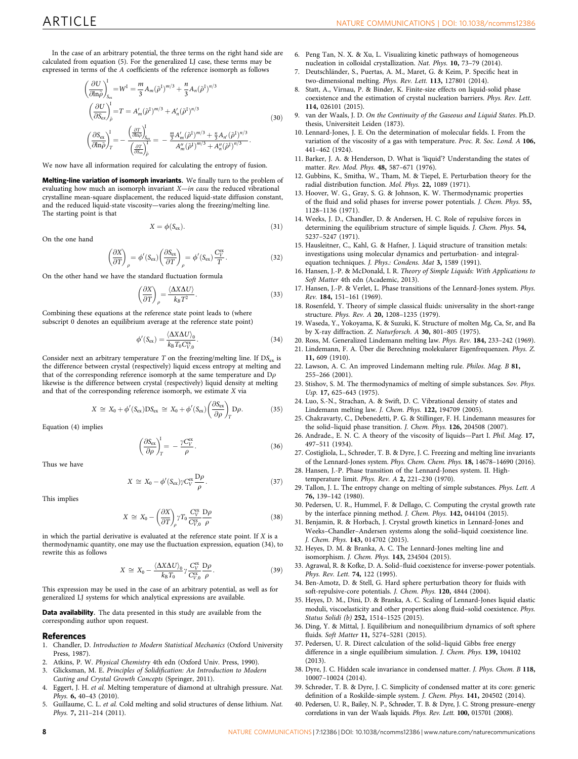<span id="page-7-0"></span>In the case of an arbitrary potential, the three terms on the right hand side are calculated from equation (5). For the generalized LJ case, these terms may be expressed in terms of the A coefficients of the reference isomorph as follows

$$
\left(\frac{\partial U}{\partial \ln \tilde{\rho}}\right)_{S_{\text{cc}}}^{I} = W^{I} = \frac{m}{3} A_{m} (\tilde{\rho}^{1})^{m/3} + \frac{n}{3} A_{n} (\tilde{\rho}^{1})^{n/3}
$$
\n
$$
\left(\frac{\partial U}{\partial S_{\text{ex}}}\right)_{\tilde{\rho}}^{I} = T = A'_{m} (\tilde{\rho}^{1})^{m/3} + A'_{n} (\tilde{\rho}^{1})^{n/3}
$$
\n
$$
\left(\frac{\partial S_{\text{ex}}}{\partial \ln \tilde{\rho}}\right)_{T}^{I} = -\frac{\left(\frac{\partial T}{\partial \ln \rho}\right)_{S_{\text{ex}}}}{\left(\frac{\partial T}{\partial S_{\text{ex}}}\right)_{\tilde{\rho}}} = -\frac{\frac{m}{3} A'_{m} (\tilde{\rho}^{1})^{m/3} + \frac{n}{3} A_{n'} (\tilde{\rho}^{1})^{n/3}}{A''_{m} (\tilde{\rho}^{1})^{m/3} + A''_{n} (\tilde{\rho}^{1})^{n/3}}.
$$
\n(30)

We now have all information required for calculating the entropy of fusion.

Melting-line variation of isomorph invariants. We finally turn to the problem of evaluating how much an isomorph invariant  $X$ —in casu the reduced vibrational crystalline mean-square displacement, the reduced liquid-state diffusion constant, and the reduced liquid-state viscosity—varies along the freezing/melting line. The starting point is that

$$
X = \phi(S_{\text{ex}}). \tag{31}
$$

On the one hand

$$
\left(\frac{\partial X}{\partial T}\right)_{\rho} = \phi'(S_{\text{ex}}) \left(\frac{\partial S_{\text{ex}}}{\partial T}\right)_{\rho} = \phi'(S_{\text{ex}}) \frac{C_{V}^{\text{ex}}}{T}.
$$
\n(32)

On the other hand we have the standard fluctuation formula

$$
\left(\frac{\partial X}{\partial T}\right)_{\rho} = \frac{\langle \Delta X \Delta U \rangle}{k_B T^2}.
$$
\n(33)

Combining these equations at the reference state point leads to (where subscript  $\widetilde{0}$  denotes an equilibrium average at the reference state point)

$$
\phi'(S_{\rm ex}) = \frac{\langle \Delta X \Delta U \rangle_0}{k_{\rm B} T_0 C_{V,0}^{\rm ex}}.\tag{34}
$$

Consider next an arbitrary temperature  $T$  on the freezing/melting line. If  $DS_{ex}$  is the difference between crystal (respectively) liquid excess entropy at melting and that of the corresponding reference isomorph at the same temperature and  $D\rho$ likewise is the difference between crystal (respectively) liquid density at melting and that of the corresponding reference isomorph, we estimate X via

$$
X \cong X_0 + \phi'(S_{\text{ex}})DS_{\text{ex}} \cong X_0 + \phi'(S_{\text{ex}}) \left(\frac{\partial S_{\text{ex}}}{\partial \rho}\right)_T D\rho. \tag{35}
$$

Equation (4) implies

$$
\left(\frac{\partial S_{\text{ex}}}{\partial \rho}\right)^{\text{I}}_{T} = -\frac{\gamma C_{V}^{\text{ex}}}{\rho}.
$$
\n(36)

Thus we have

$$
X \cong X_0 - \phi'(S_{\text{ex}}) \gamma C_V^{\text{ex}} \frac{D\rho}{\rho}.
$$
 (37)

This implies

$$
X \cong X_0 - \left(\frac{\partial X}{\partial T}\right)_{\rho} \gamma T_0 \frac{C_V^{\text{ex}}}{C_{V,0}^{\text{ex}}} \frac{D\rho}{\rho}
$$
\n(38)

in which the partial derivative is evaluated at the reference state point. If  $X$  is a thermodynamic quantity, one may use the fluctuation expression, equation (34), to rewrite this as follows

$$
X \cong X_0 - \frac{\langle \Delta X \Delta U \rangle_0}{k_B T_0} \gamma \frac{C_V^{\text{ex}}}{C_{V,0}^{\text{ex}}} \frac{D \rho}{\rho}.
$$
 (39)

This expression may be used in the case of an arbitrary potential, as well as for generalized LJ systems for which analytical expressions are available.

Data availability. The data presented in this study are available from the corresponding author upon request.

### References

- 1. Chandler, D. Introduction to Modern Statistical Mechanics (Oxford University Press, 1987).
- 2. Atkins, P. W. Physical Chemistry 4th edn (Oxford Univ. Press, 1990).
- 3. Glicksman, M. E. Principles of Solidification: An Introduction to Modern Casting and Crystal Growth Concepts (Springer, 2011).
- Eggert, J. H. et al. Melting temperature of diamond at ultrahigh pressure. Nat. Phys. 6, 40–43 (2010).
- 5. Guillaume, C. L. et al. Cold melting and solid structures of dense lithium. Nat. Phys. 7, 211–214 (2011).
- 6. Peng Tan, N. X. & Xu, L. Visualizing kinetic pathways of homogeneous nucleation in colloidal crystallization. Nat. Phys. 10, 73–79 (2014).
- 7. Deutschländer, S., Puertas, A. M., Maret, G. & Keim, P. Specific heat in two-dimensional melting. Phys. Rev. Lett. 113, 127801 (2014).
- 8. Statt, A., Virnau, P. & Binder, K. Finite-size effects on liquid-solid phase coexistence and the estimation of crystal nucleation barriers. Phys. Rev. Lett. 114, 026101 (2015).
- 9. van der Waals, J. D. On the Continuity of the Gaseous and Liquid States. Ph.D. thesis, Universiteit Leiden (1873).
- 10. Lennard-Jones, J. E. On the determination of molecular fields. I. From the variation of the viscosity of a gas with temperature. Proc. R. Soc. Lond. A 106, 441–462 (1924).
- 11. Barker, J. A. & Henderson, D. What is 'liquid'? Understanding the states of matter. Rev. Mod. Phys. 48, 587–671 (1976).
- 12. Gubbins, K., Smitha, W., Tham, M. & Tiepel, E. Perturbation theory for the radial distribution function. Mol. Phys. 22, 1089 (1971).
- 13. Hoover, W. G., Gray, S. G. & Johnson, K. W. Thermodynamic properties of the fluid and solid phases for inverse power potentials. J. Chem. Phys. 55, 1128–1136 (1971).
- 14. Weeks, J. D., Chandler, D. & Andersen, H. C. Role of repulsive forces in determining the equilibrium structure of simple liquids. J. Chem. Phys. 54, 5237–5247 (1971).
- 15. Hausleitner, C., Kahl, G. & Hafner, J. Liquid structure of transition metals: investigations using molecular dynamics and perturbation- and integralequation techniques. J. Phys.: Condens. Mat 3, 1589 (1991).
- 16. Hansen, J.-P. & McDonald, I. R. Theory of Simple Liquids: With Applications to Soft Matter 4th edn (Academic, 2013).
- 17. Hansen, J.-P. & Verlet, L. Phase transitions of the Lennard-Jones system. Phys. Rev. 184, 151–161 (1969).
- 18. Rosenfeld, Y. Theory of simple classical fluids: universality in the short-range structure. Phys. Rev. A 20, 1208–1235 (1979).
- 19. Waseda, Y., Yokoyama, K. & Suzuki, K. Structure of molten Mg, Ca, Sr, and Ba by X-ray diffraction. Z. Naturforsch. A 30, 801–805 (1975).
- 20. Ross, M. Generalized Lindemann melting law. Phys. Rev. 184, 233–242 (1969).
- 21. Lindemann, F. A. Über die Berechning molekularer Eigenfrequenzen. Phys. Z. 11, 609 (1910).
- 22. Lawson, A. C. An improved Lindemann melting rule. Philos. Mag. B 81, 255–266 (2001).
- 23. Stishov, S. M. The thermodynamics of melting of simple substances. Sov. Phys. Usp. 17, 625-643 (1975).
- 24. Luo, S.-N., Strachan, A. & Swift, D. C. Vibrational density of states and Lindemann melting law. J. Chem. Phys. 122, 194709 (2005).
- 25. Chakravarty, C., Debenedetti, P. G. & Stillinger, F. H. Lindemann measures for the solid–liquid phase transition. J. Chem. Phys. 126, 204508 (2007).
- 26. Andrade., E. N. C. A theory of the viscosity of liquids—Part I. Phil. Mag. 17, 497–511 (1934).
- 27. Costigliola, L., Schrøder, T. B. & Dyre, J. C. Freezing and melting line invariants of the Lennard-Jones system. Phys. Chem. Chem. Phys. 18, 14678–14690 (2016).
- 28. Hansen, J.-P. Phase transition of the Lennard-Jones system. II. Hightemperature limit. Phys. Rev. A 2, 221–230 (1970).
- 29. Tallon, J. L. The entropy change on melting of simple substances. Phys. Lett. A 76, 139–142 (1980).
- 30. Pedersen, U. R., Hummel, F. & Dellago, C. Computing the crystal growth rate by the interface pinning method. J. Chem. Phys. 142, 044104 (2015).
- 31. Benjamin, R. & Horbach, J. Crystal growth kinetics in Lennard-Jones and Weeks–Chandler–Andersen systems along the solid–liquid coexistence line. J. Chem. Phys. 143, 014702 (2015).
- 32. Heyes, D. M. & Branka, A. C. The Lennard-Jones melting line and isomorphism. J. Chem. Phys. 143, 234504 (2015).
- 33. Agrawal, R. & Kofke, D. A. Solid–fluid coexistence for inverse-power potentials. Phys. Rev. Lett. 74, 122 (1995).
- 34. Ben-Amotz, D. & Stell, G. Hard sphere perturbation theory for fluids with soft-repulsive-core potentials. J. Chem. Phys. 120, 4844 (2004).
- 35. Heyes, D. M., Dini, D. & Branka, A. C. Scaling of Lennard-Jones liquid elastic moduli, viscoelasticity and other properties along fluid–solid coexistence. Phys. Status Solidi (b) 252, 1514–1525 (2015).
- 36. Ding, Y. & Mittal, J. Equilibrium and nonequilibrium dynamics of soft sphere fluids. Soft Matter 11, 5274–5281 (2015).
- 37. Pedersen, U. R. Direct calculation of the solid–liquid Gibbs free energy difference in a single equilibrium simulation. J. Chem. Phys. 139, 104102 (2013).
- 38. Dyre, J. C. Hidden scale invariance in condensed matter. J. Phys. Chem. B 118, 10007–10024 (2014).
- 39. Schrøder, T. B. & Dyre, J. C. Simplicity of condensed matter at its core: generic definition of a Roskilde-simple system. J. Chem. Phys. 141, 204502 (2014).
- 40. Pedersen, U. R., Bailey, N. P., Schrøder, T. B. & Dyre, J. C. Strong pressure–energy correlations in van der Waals liquids. Phys. Rev. Lett. 100, 015701 (2008).